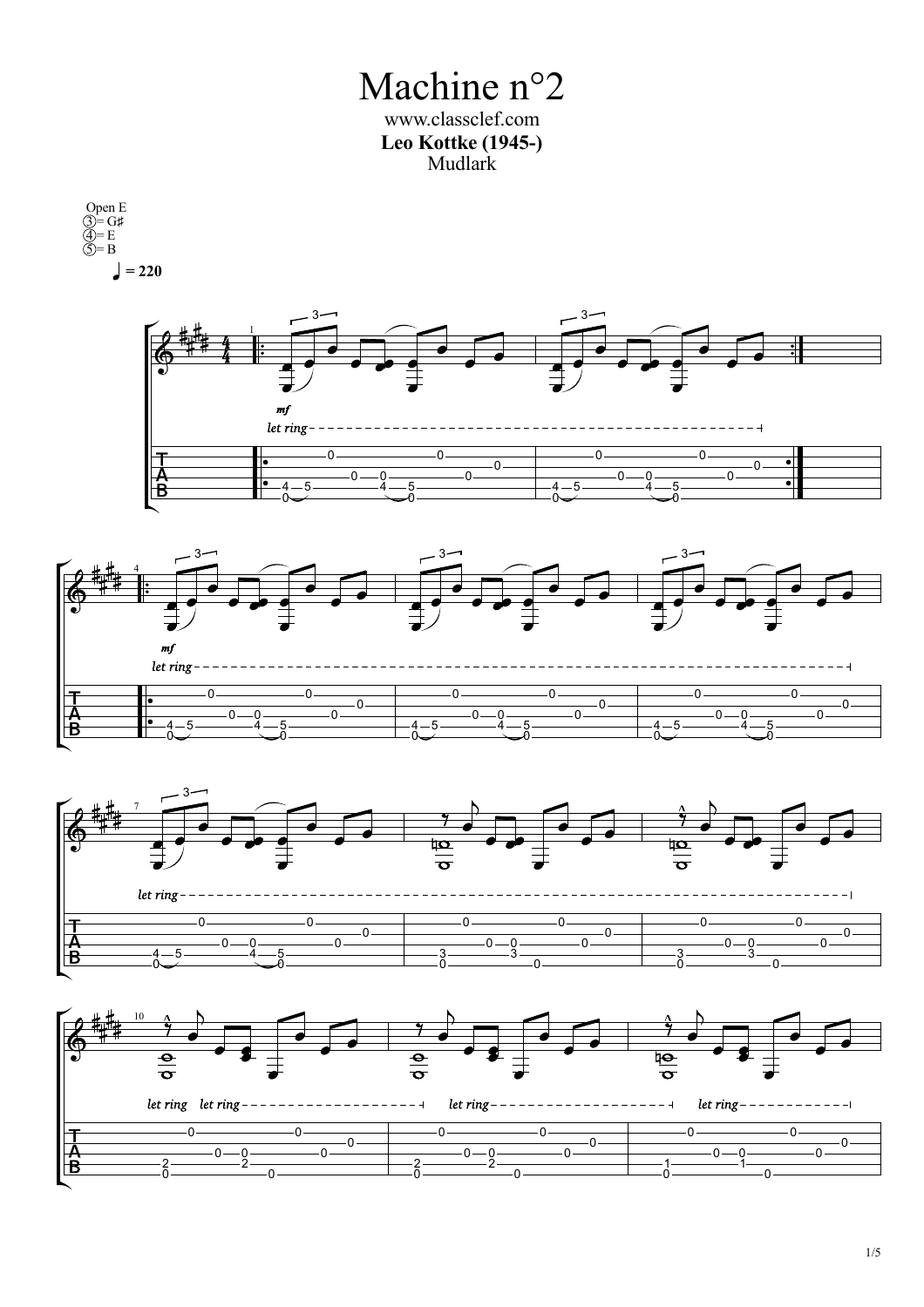Machine n°2 www.classclef.com **Leo Kottke (1945-)** Mudlark

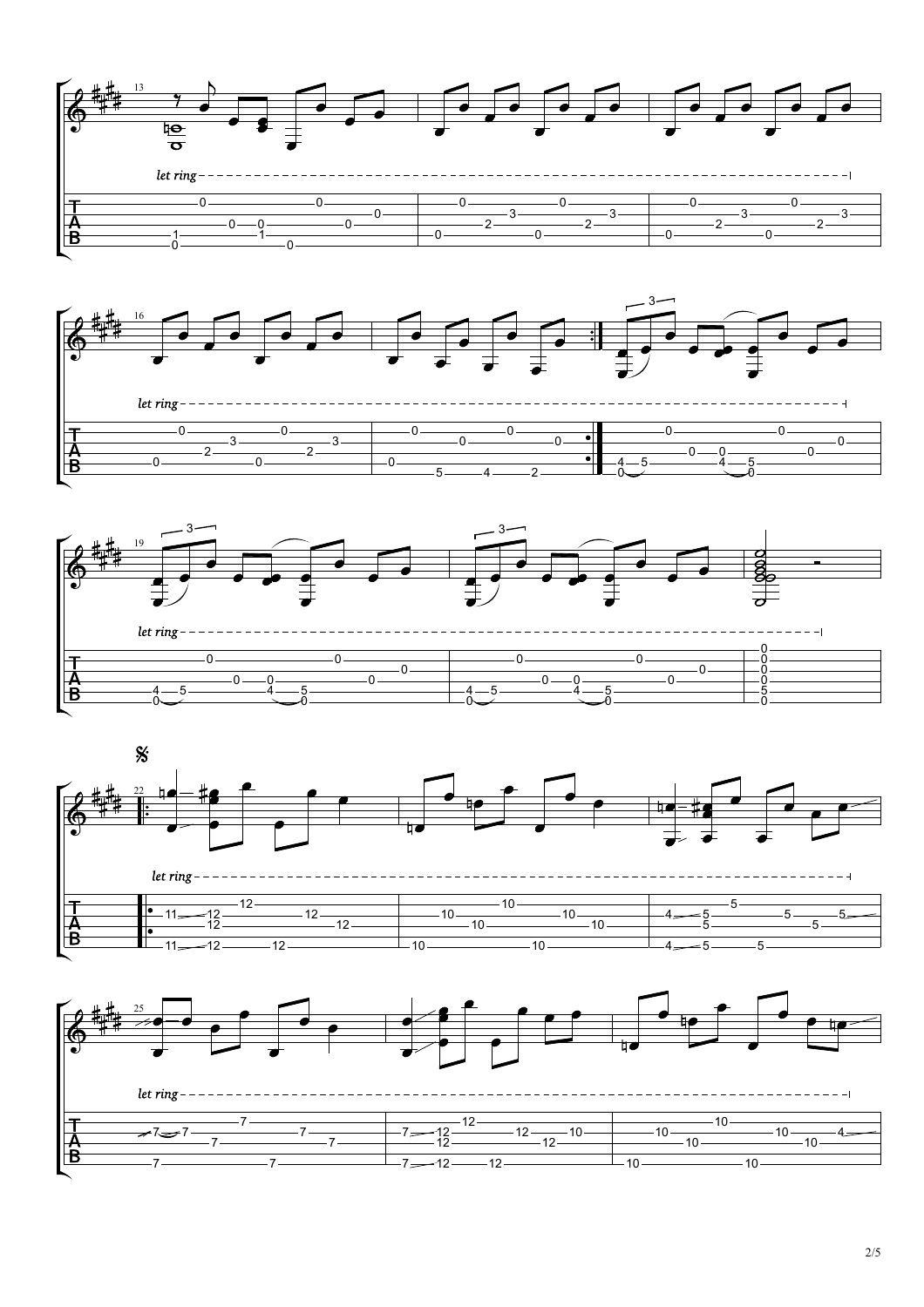







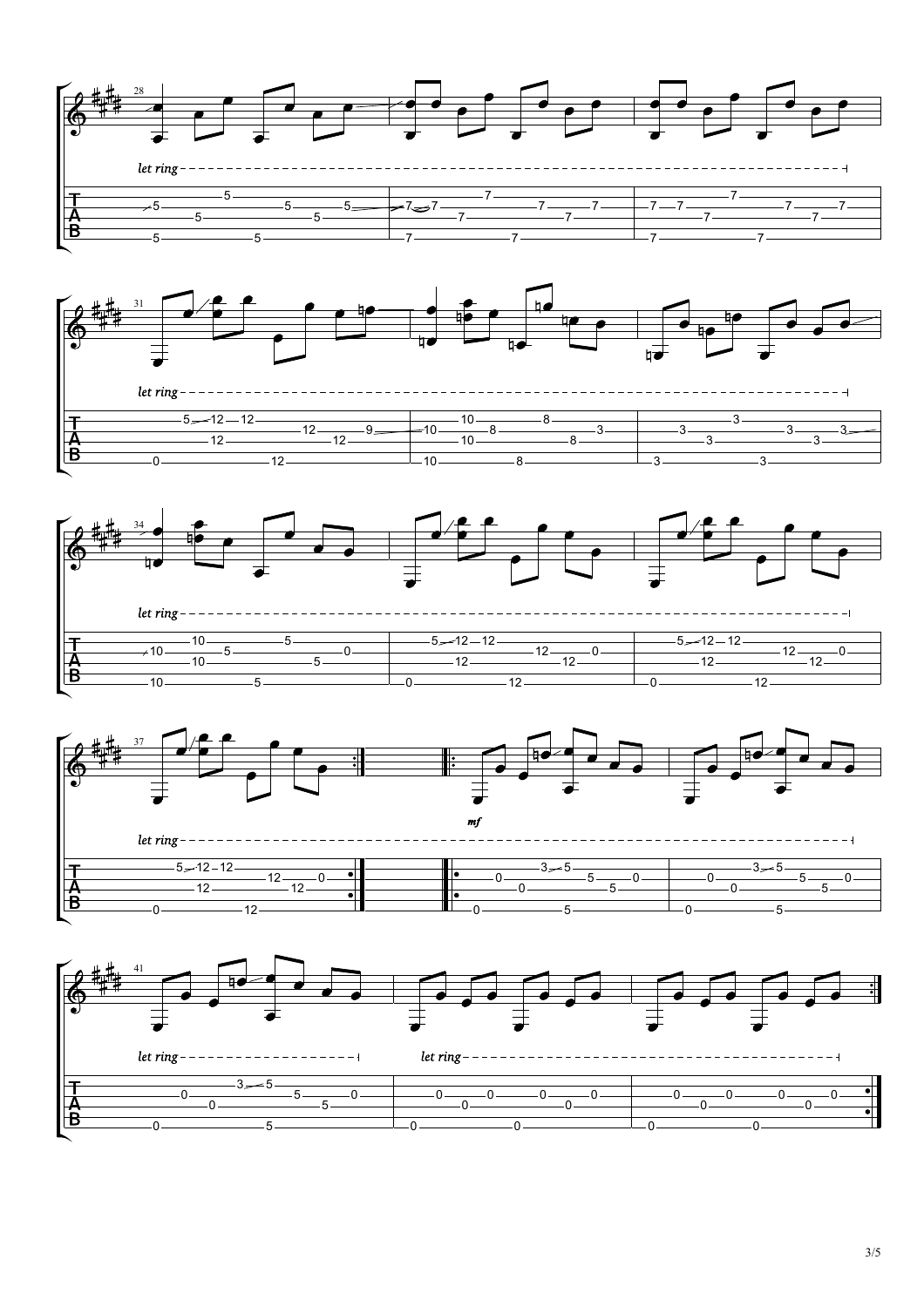







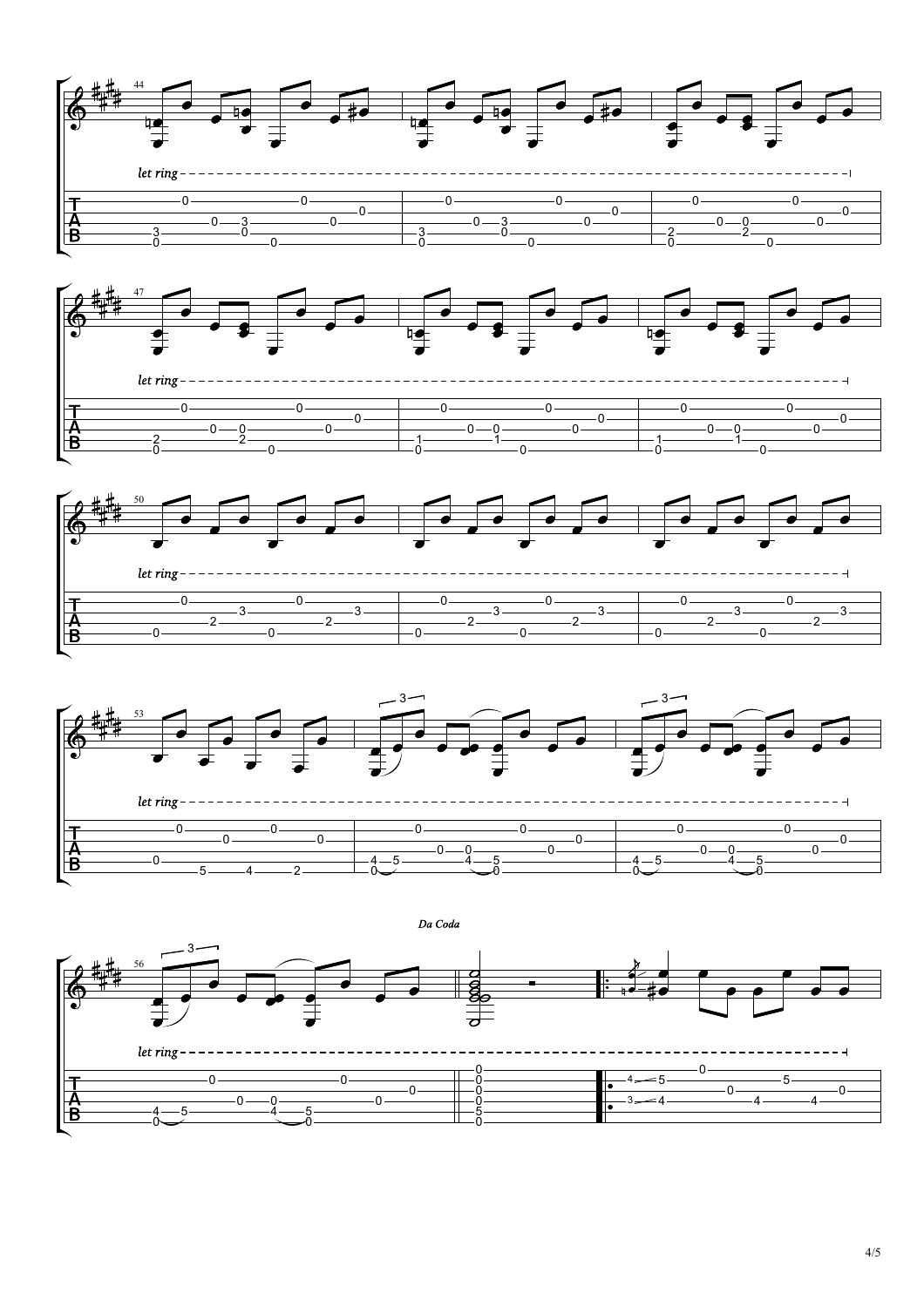







Da Coda